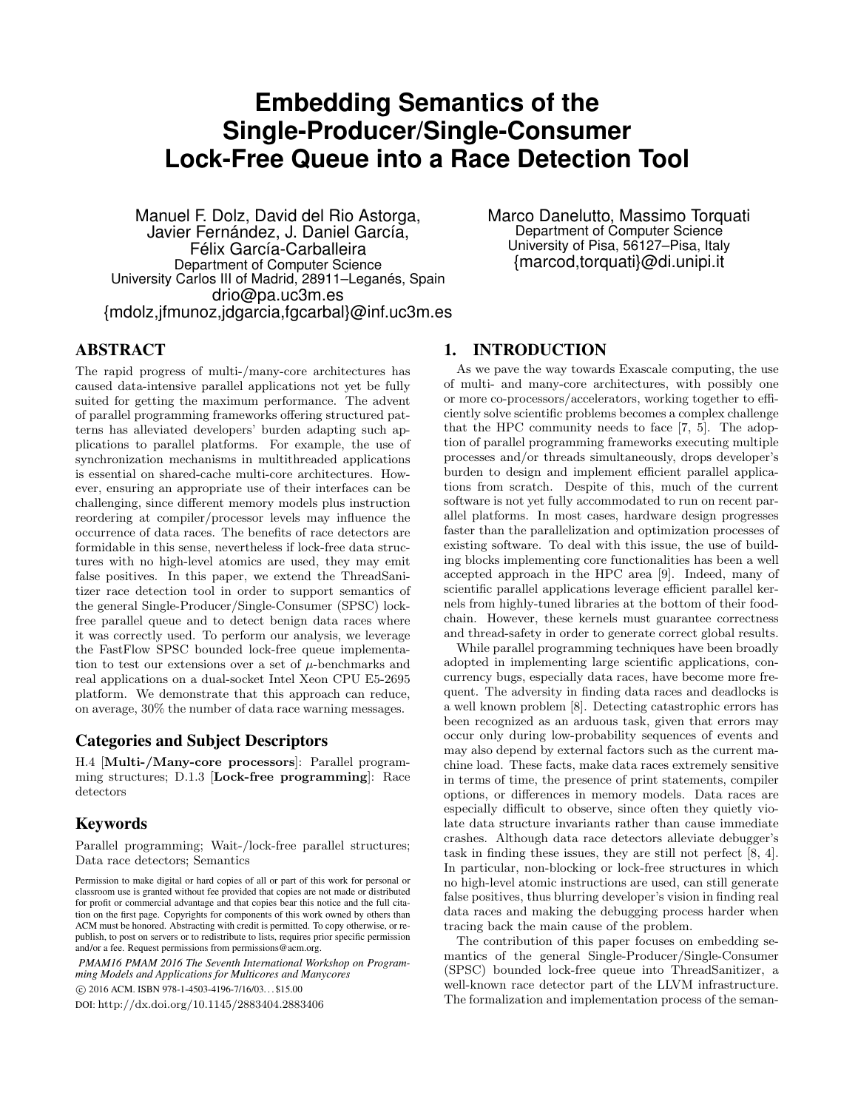# **Embedding Semantics of the Single-Producer/Single-Consumer Lock-Free Queue into a Race Detection Tool**

Manuel F. Dolz, David del Rio Astorga, Javier Fernández, J. Daniel García, Félix García-Carballeira Department of Computer Science University Carlos III of Madrid, 28911–Leganés, Spain drio@pa.uc3m.es {mdolz,jfmunoz,jdgarcia,fgcarbal}@inf.uc3m.es Marco Danelutto, Massimo Torquati Department of Computer Science University of Pisa, 56127–Pisa, Italy {marcod,torquati}@di.unipi.it

# ABSTRACT

The rapid progress of multi-/many-core architectures has caused data-intensive parallel applications not yet be fully suited for getting the maximum performance. The advent of parallel programming frameworks offering structured patterns has alleviated developers' burden adapting such applications to parallel platforms. For example, the use of synchronization mechanisms in multithreaded applications is essential on shared-cache multi-core architectures. However, ensuring an appropriate use of their interfaces can be challenging, since different memory models plus instruction reordering at compiler/processor levels may influence the occurrence of data races. The benefits of race detectors are formidable in this sense, nevertheless if lock-free data structures with no high-level atomics are used, they may emit false positives. In this paper, we extend the ThreadSanitizer race detection tool in order to support semantics of the general Single-Producer/Single-Consumer (SPSC) lockfree parallel queue and to detect benign data races where it was correctly used. To perform our analysis, we leverage the FastFlow SPSC bounded lock-free queue implementation to test our extensions over a set of  $\mu$ -benchmarks and real applications on a dual-socket Intel Xeon CPU E5-2695 platform. We demonstrate that this approach can reduce, on average, 30% the number of data race warning messages.

#### Categories and Subject Descriptors

H.4 [Multi-/Many-core processors]: Parallel programming structures; D.1.3 [Lock-free programming]: Race detectors

## Keywords

Parallel programming; Wait-/lock-free parallel structures; Data race detectors; Semantics

*PMAM16 PMAM 2016 The Seventh International Workshop on Programming Models and Applications for Multicores and Manycores*

c 2016 ACM. ISBN 978-1-4503-4196-7/16/03. . . \$15.00

DOI: http://dx.doi.org/10.1145/2883404.2883406

#### 1. INTRODUCTION

As we pave the way towards Exascale computing, the use of multi- and many-core architectures, with possibly one or more co-processors/accelerators, working together to efficiently solve scientific problems becomes a complex challenge that the HPC community needs to face [7, 5]. The adoption of parallel programming frameworks executing multiple processes and/or threads simultaneously, drops developer's burden to design and implement efficient parallel applications from scratch. Despite of this, much of the current software is not yet fully accommodated to run on recent parallel platforms. In most cases, hardware design progresses faster than the parallelization and optimization processes of existing software. To deal with this issue, the use of building blocks implementing core functionalities has been a well accepted approach in the HPC area [9]. Indeed, many of scientific parallel applications leverage efficient parallel kernels from highly-tuned libraries at the bottom of their foodchain. However, these kernels must guarantee correctness and thread-safety in order to generate correct global results.

While parallel programming techniques have been broadly adopted in implementing large scientific applications, concurrency bugs, especially data races, have become more frequent. The adversity in finding data races and deadlocks is a well known problem [8]. Detecting catastrophic errors has been recognized as an arduous task, given that errors may occur only during low-probability sequences of events and may also depend by external factors such as the current machine load. These facts, make data races extremely sensitive in terms of time, the presence of print statements, compiler options, or differences in memory models. Data races are especially difficult to observe, since often they quietly violate data structure invariants rather than cause immediate crashes. Although data race detectors alleviate debugger's task in finding these issues, they are still not perfect [8, 4]. In particular, non-blocking or lock-free structures in which no high-level atomic instructions are used, can still generate false positives, thus blurring developer's vision in finding real data races and making the debugging process harder when tracing back the main cause of the problem.

The contribution of this paper focuses on embedding semantics of the general Single-Producer/Single-Consumer (SPSC) bounded lock-free queue into ThreadSanitizer, a well-known race detector part of the LLVM infrastructure. The formalization and implementation process of the seman-

Permission to make digital or hard copies of all or part of this work for personal or classroom use is granted without fee provided that copies are not made or distributed for profit or commercial advantage and that copies bear this notice and the full citation on the first page. Copyrights for components of this work owned by others than ACM must be honored. Abstracting with credit is permitted. To copy otherwise, or republish, to post on servers or to redistribute to lists, requires prior specific permission and/or a fee. Request permissions from permissions@acm.org.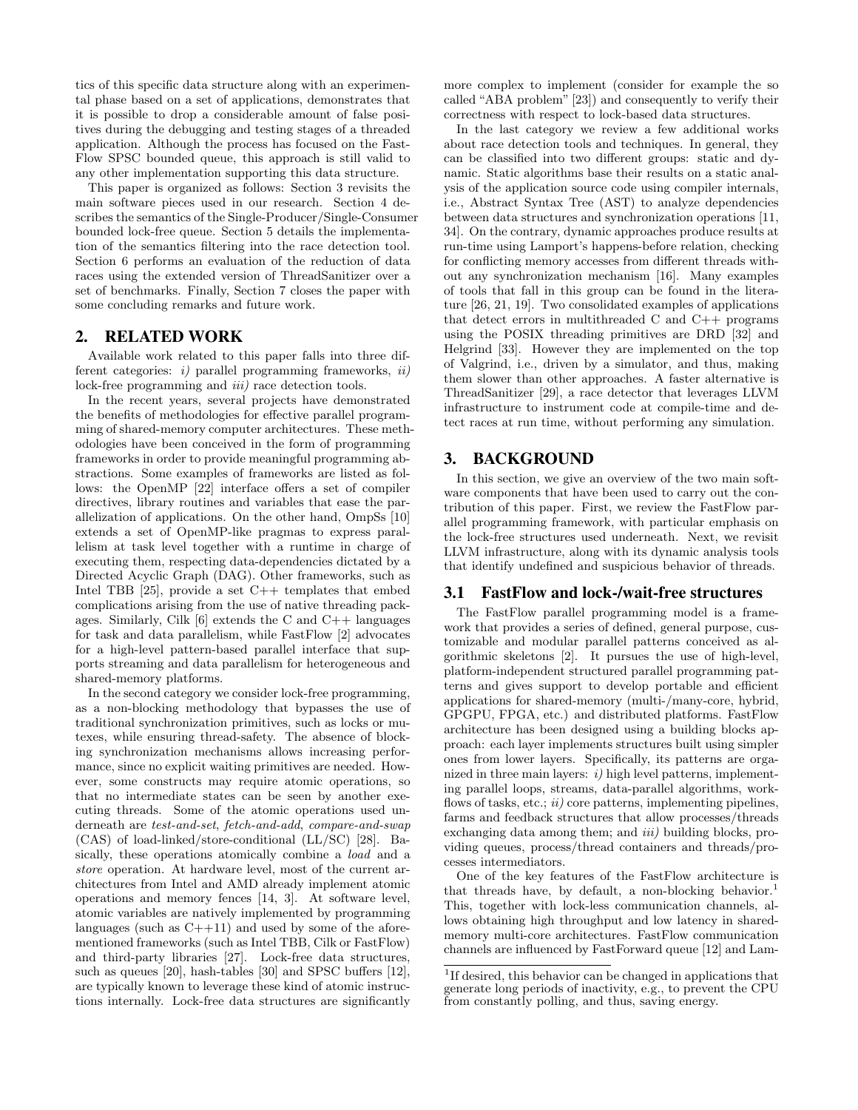tics of this specific data structure along with an experimental phase based on a set of applications, demonstrates that it is possible to drop a considerable amount of false positives during the debugging and testing stages of a threaded application. Although the process has focused on the Fast-Flow SPSC bounded queue, this approach is still valid to any other implementation supporting this data structure.

This paper is organized as follows: Section 3 revisits the main software pieces used in our research. Section 4 describes the semantics of the Single-Producer/Single-Consumer bounded lock-free queue. Section 5 details the implementation of the semantics filtering into the race detection tool. Section 6 performs an evaluation of the reduction of data races using the extended version of ThreadSanitizer over a set of benchmarks. Finally, Section 7 closes the paper with some concluding remarks and future work.

#### 2. RELATED WORK

Available work related to this paper falls into three different categories:  $i)$  parallel programming frameworks,  $ii)$ lock-free programming and *iii*) race detection tools.

In the recent years, several projects have demonstrated the benefits of methodologies for effective parallel programming of shared-memory computer architectures. These methodologies have been conceived in the form of programming frameworks in order to provide meaningful programming abstractions. Some examples of frameworks are listed as follows: the OpenMP [22] interface offers a set of compiler directives, library routines and variables that ease the parallelization of applications. On the other hand, OmpSs [10] extends a set of OpenMP-like pragmas to express parallelism at task level together with a runtime in charge of executing them, respecting data-dependencies dictated by a Directed Acyclic Graph (DAG). Other frameworks, such as Intel TBB  $[25]$ , provide a set C++ templates that embed complications arising from the use of native threading packages. Similarly, Cilk  $[6]$  extends the C and C++ languages for task and data parallelism, while FastFlow [2] advocates for a high-level pattern-based parallel interface that supports streaming and data parallelism for heterogeneous and shared-memory platforms.

In the second category we consider lock-free programming, as a non-blocking methodology that bypasses the use of traditional synchronization primitives, such as locks or mutexes, while ensuring thread-safety. The absence of blocking synchronization mechanisms allows increasing performance, since no explicit waiting primitives are needed. However, some constructs may require atomic operations, so that no intermediate states can be seen by another executing threads. Some of the atomic operations used underneath are test-and-set, fetch-and-add, compare-and-swap (CAS) of load-linked/store-conditional (LL/SC) [28]. Basically, these operations atomically combine a load and a store operation. At hardware level, most of the current architectures from Intel and AMD already implement atomic operations and memory fences [14, 3]. At software level, atomic variables are natively implemented by programming languages (such as  $C++11$ ) and used by some of the aforementioned frameworks (such as Intel TBB, Cilk or FastFlow) and third-party libraries [27]. Lock-free data structures, such as queues [20], hash-tables [30] and SPSC buffers [12], are typically known to leverage these kind of atomic instructions internally. Lock-free data structures are significantly more complex to implement (consider for example the so called "ABA problem" [23]) and consequently to verify their correctness with respect to lock-based data structures.

In the last category we review a few additional works about race detection tools and techniques. In general, they can be classified into two different groups: static and dynamic. Static algorithms base their results on a static analysis of the application source code using compiler internals, i.e., Abstract Syntax Tree (AST) to analyze dependencies between data structures and synchronization operations [11, 34]. On the contrary, dynamic approaches produce results at run-time using Lamport's happens-before relation, checking for conflicting memory accesses from different threads without any synchronization mechanism [16]. Many examples of tools that fall in this group can be found in the literature [26, 21, 19]. Two consolidated examples of applications that detect errors in multithreaded C and C++ programs using the POSIX threading primitives are DRD [32] and Helgrind [33]. However they are implemented on the top of Valgrind, i.e., driven by a simulator, and thus, making them slower than other approaches. A faster alternative is ThreadSanitizer [29], a race detector that leverages LLVM infrastructure to instrument code at compile-time and detect races at run time, without performing any simulation.

## 3. BACKGROUND

In this section, we give an overview of the two main software components that have been used to carry out the contribution of this paper. First, we review the FastFlow parallel programming framework, with particular emphasis on the lock-free structures used underneath. Next, we revisit LLVM infrastructure, along with its dynamic analysis tools that identify undefined and suspicious behavior of threads.

#### 3.1 FastFlow and lock-/wait-free structures

The FastFlow parallel programming model is a framework that provides a series of defined, general purpose, customizable and modular parallel patterns conceived as algorithmic skeletons [2]. It pursues the use of high-level, platform-independent structured parallel programming patterns and gives support to develop portable and efficient applications for shared-memory (multi-/many-core, hybrid, GPGPU, FPGA, etc.) and distributed platforms. FastFlow architecture has been designed using a building blocks approach: each layer implements structures built using simpler ones from lower layers. Specifically, its patterns are organized in three main layers:  $i)$  high level patterns, implementing parallel loops, streams, data-parallel algorithms, workflows of tasks, etc.;  $ii)$  core patterns, implementing pipelines, farms and feedback structures that allow processes/threads exchanging data among them; and *iii*) building blocks, providing queues, process/thread containers and threads/processes intermediators.

One of the key features of the FastFlow architecture is that threads have, by default, a non-blocking behavior.<sup>1</sup> This, together with lock-less communication channels, allows obtaining high throughput and low latency in sharedmemory multi-core architectures. FastFlow communication channels are influenced by FastForward queue [12] and Lam-

<sup>&</sup>lt;sup>1</sup>If desired, this behavior can be changed in applications that generate long periods of inactivity, e.g., to prevent the CPU from constantly polling, and thus, saving energy.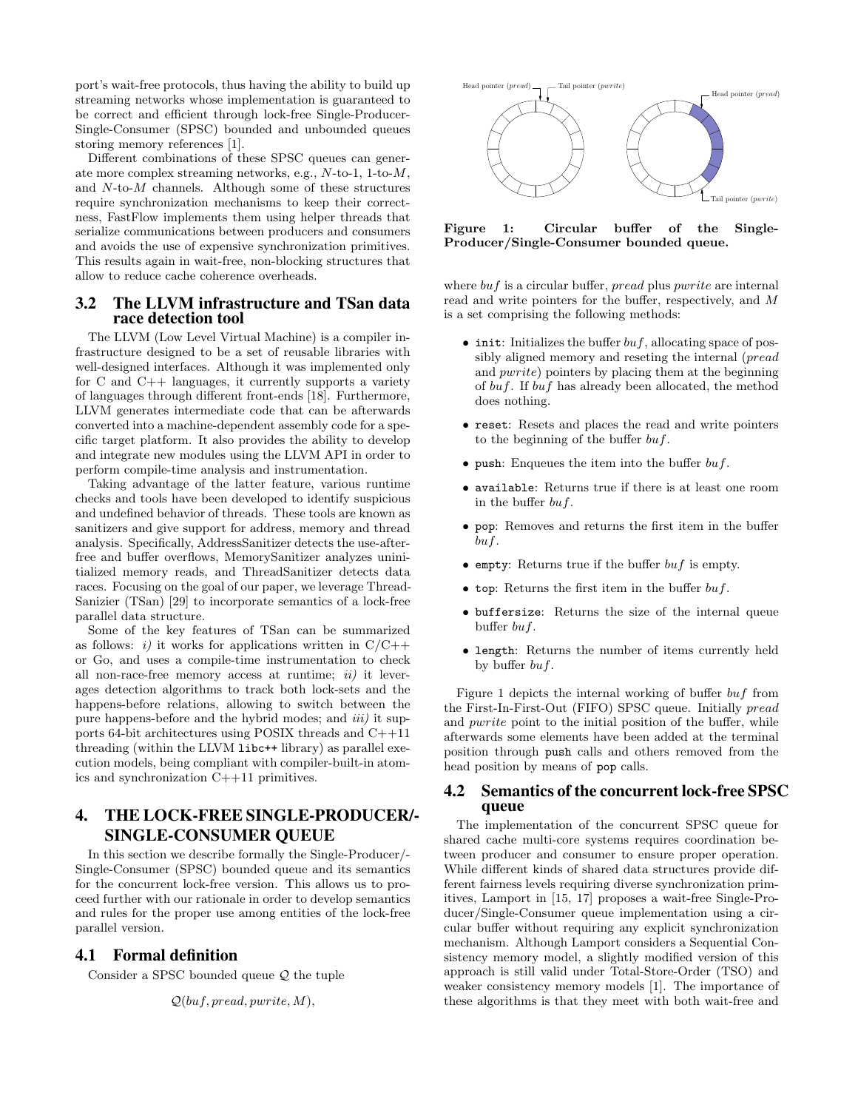port's wait-free protocols, thus having the ability to build up streaming networks whose implementation is guaranteed to be correct and efficient through lock-free Single-Producer-Single-Consumer (SPSC) bounded and unbounded queues storing memory references [1].

Different combinations of these SPSC queues can generate more complex streaming networks, e.g., N-to-1, 1-to-M, and  $N$ -to- $M$  channels. Although some of these structures require synchronization mechanisms to keep their correctness, FastFlow implements them using helper threads that serialize communications between producers and consumers and avoids the use of expensive synchronization primitives. This results again in wait-free, non-blocking structures that allow to reduce cache coherence overheads.

#### 3.2 The LLVM infrastructure and TSan data race detection tool

The LLVM (Low Level Virtual Machine) is a compiler infrastructure designed to be a set of reusable libraries with well-designed interfaces. Although it was implemented only for C and C++ languages, it currently supports a variety of languages through different front-ends [18]. Furthermore, LLVM generates intermediate code that can be afterwards converted into a machine-dependent assembly code for a specific target platform. It also provides the ability to develop and integrate new modules using the LLVM API in order to perform compile-time analysis and instrumentation.

Taking advantage of the latter feature, various runtime checks and tools have been developed to identify suspicious and undefined behavior of threads. These tools are known as sanitizers and give support for address, memory and thread analysis. Specifically, AddressSanitizer detects the use-afterfree and buffer overflows, MemorySanitizer analyzes uninitialized memory reads, and ThreadSanitizer detects data races. Focusing on the goal of our paper, we leverage Thread-Sanizier (TSan) [29] to incorporate semantics of a lock-free parallel data structure.

Some of the key features of TSan can be summarized as follows: i) it works for applications written in  $C/C++$ or Go, and uses a compile-time instrumentation to check all non-race-free memory access at runtime;  $ii)$  it leverages detection algorithms to track both lock-sets and the happens-before relations, allowing to switch between the pure happens-before and the hybrid modes; and  $iii$ ) it supports 64-bit architectures using POSIX threads and C++11 threading (within the LLVM libc++ library) as parallel execution models, being compliant with compiler-built-in atomics and synchronization C++11 primitives.

# 4. THE LOCK-FREE SINGLE-PRODUCER/- SINGLE-CONSUMER QUEUE

In this section we describe formally the Single-Producer/- Single-Consumer (SPSC) bounded queue and its semantics for the concurrent lock-free version. This allows us to proceed further with our rationale in order to develop semantics and rules for the proper use among entities of the lock-free parallel version.

#### 4.1 Formal definition

Consider a SPSC bounded queue Q the tuple

$$
\mathcal{Q}(buf, \mathit{pred}, \mathit{pwrite}, M),
$$



Figure 1: Circular buffer of the Single-Producer/Single-Consumer bounded queue.

where  $buf$  is a circular buffer,  $pread$  plus  $pwrite$  are internal read and write pointers for the buffer, respectively, and M is a set comprising the following methods:

- init: Initializes the buffer  $buf$ , allocating space of possibly aligned memory and reseting the internal (pread and pwrite) pointers by placing them at the beginning of buf. If buf has already been allocated, the method does nothing.
- reset: Resets and places the read and write pointers to the beginning of the buffer  $buf$ .
- push: Enqueues the item into the buffer  $buf$ .
- available: Returns true if there is at least one room in the buffer buf.
- pop: Removes and returns the first item in the buffer buf.
- empty: Returns true if the buffer  $buf$  is empty.
- top: Returns the first item in the buffer  $buf$ .
- buffersize: Returns the size of the internal queue buffer  $buf.$
- length: Returns the number of items currently held by buffer  $buf$ .

Figure 1 depicts the internal working of buffer buf from the First-In-First-Out (FIFO) SPSC queue. Initially pread and pwrite point to the initial position of the buffer, while afterwards some elements have been added at the terminal position through push calls and others removed from the head position by means of pop calls.

#### 4.2 Semantics of the concurrent lock-free SPSC queue

The implementation of the concurrent SPSC queue for shared cache multi-core systems requires coordination between producer and consumer to ensure proper operation. While different kinds of shared data structures provide different fairness levels requiring diverse synchronization primitives, Lamport in [15, 17] proposes a wait-free Single-Producer/Single-Consumer queue implementation using a circular buffer without requiring any explicit synchronization mechanism. Although Lamport considers a Sequential Consistency memory model, a slightly modified version of this approach is still valid under Total-Store-Order (TSO) and weaker consistency memory models [1]. The importance of these algorithms is that they meet with both wait-free and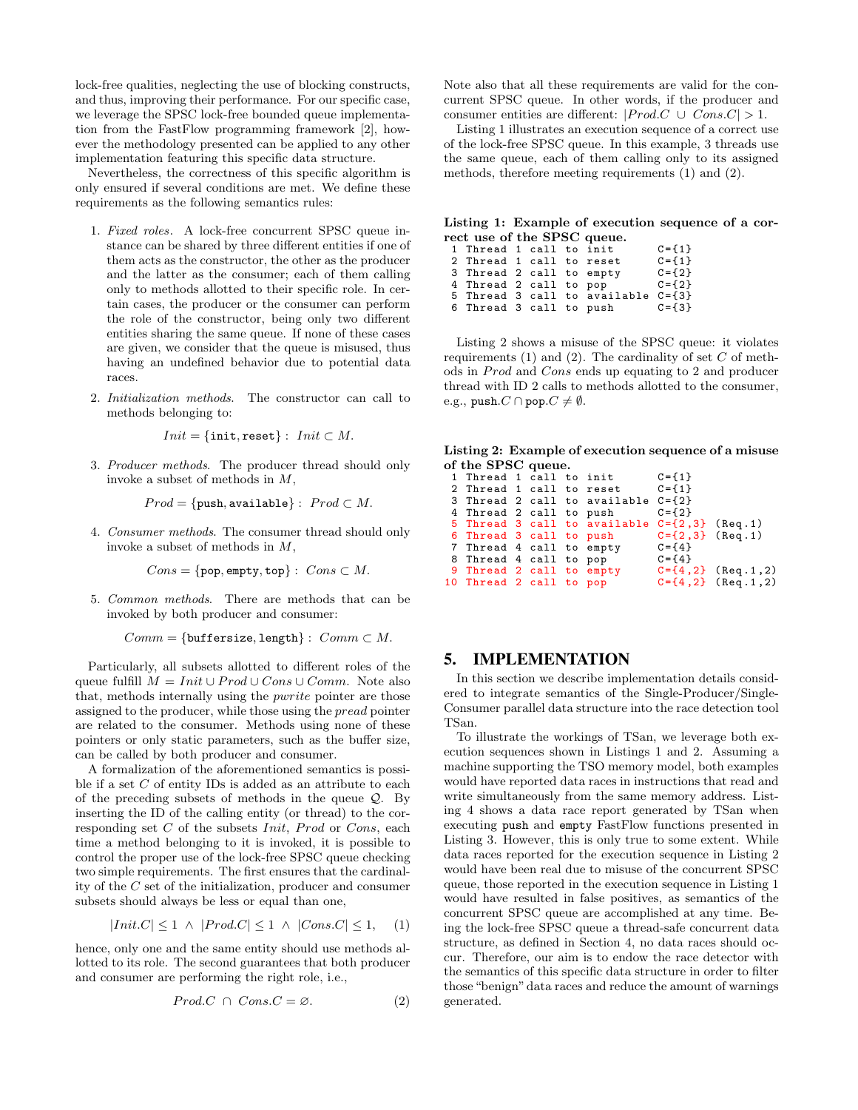lock-free qualities, neglecting the use of blocking constructs, and thus, improving their performance. For our specific case, we leverage the SPSC lock-free bounded queue implementation from the FastFlow programming framework [2], however the methodology presented can be applied to any other implementation featuring this specific data structure.

Nevertheless, the correctness of this specific algorithm is only ensured if several conditions are met. We define these requirements as the following semantics rules:

- 1. Fixed roles. A lock-free concurrent SPSC queue instance can be shared by three different entities if one of them acts as the constructor, the other as the producer and the latter as the consumer; each of them calling only to methods allotted to their specific role. In certain cases, the producer or the consumer can perform the role of the constructor, being only two different entities sharing the same queue. If none of these cases are given, we consider that the queue is misused, thus having an undefined behavior due to potential data races.
- 2. Initialization methods. The constructor can call to methods belonging to:

$$
Init = \{init, reset\} : \textit{Init} \subset M.
$$

3. Producer methods. The producer thread should only invoke a subset of methods in M,

$$
Prod = \{push, available\} : \; Prod \subset M.
$$

4. Consumer methods. The consumer thread should only invoke a subset of methods in M,

$$
Cons = \{\text{pop}, \text{empty}, \text{top}\} : \text{Cons} \subset M.
$$

5. Common methods. There are methods that can be invoked by both producer and consumer:

 $Comm = \{buffersize, length\} : Comm \subset M.$ 

Particularly, all subsets allotted to different roles of the queue fulfill  $M = Init \cup Prod \cup Cons \cup Comm$ . Note also that, methods internally using the pwrite pointer are those assigned to the producer, while those using the pread pointer are related to the consumer. Methods using none of these pointers or only static parameters, such as the buffer size, can be called by both producer and consumer.

A formalization of the aforementioned semantics is possible if a set  $C$  of entity IDs is added as an attribute to each of the preceding subsets of methods in the queue  $Q$ . By inserting the ID of the calling entity (or thread) to the corresponding set  $C$  of the subsets *Init*, *Prod* or  $Cons$ , each time a method belonging to it is invoked, it is possible to control the proper use of the lock-free SPSC queue checking two simple requirements. The first ensures that the cardinality of the C set of the initialization, producer and consumer subsets should always be less or equal than one,

$$
|Init.C| \le 1 \ \land \ |Prod.C| \le 1 \ \land \ |Cons.C| \le 1, \quad (1)
$$

hence, only one and the same entity should use methods allotted to its role. The second guarantees that both producer and consumer are performing the right role, i.e.,

$$
Prod.C \cap Cons.C = \varnothing. \tag{2}
$$

Note also that all these requirements are valid for the concurrent SPSC queue. In other words, if the producer and consumer entities are different:  $|Prod.C \cup Cons.C| > 1$ .

Listing 1 illustrates an execution sequence of a correct use of the lock-free SPSC queue. In this example, 3 threads use the same queue, each of them calling only to its assigned methods, therefore meeting requirements (1) and (2).

Listing 1: Example of execution sequence of a correct use of the SPSC queue.

|  |  | $C = \{ 1 \}$                                                                                                                                                              |
|--|--|----------------------------------------------------------------------------------------------------------------------------------------------------------------------------|
|  |  | $C = \{ 1 \}$                                                                                                                                                              |
|  |  | $C = \{2\}$                                                                                                                                                                |
|  |  | $C = \{2\}$                                                                                                                                                                |
|  |  |                                                                                                                                                                            |
|  |  | $C = \{3\}$                                                                                                                                                                |
|  |  | 1 Thread 1 call to init<br>2 Thread 1 call to reset<br>3 Thread 2 call to empty<br>4 Thread 2 call to pop<br>5 Thread 3 call to available C={3}<br>6 Thread 3 call to push |

Listing 2 shows a misuse of the SPSC queue: it violates requirements  $(1)$  and  $(2)$ . The cardinality of set C of methods in *Prod* and *Cons* ends up equating to 2 and producer thread with ID 2 calls to methods allotted to the consumer, e.g., push. $C \cap \text{pop}.C \neq \emptyset$ .

Listing 2: Example of execution sequence of a misuse of the SPSC queue.

|                         |  | 1 Thread 1 call to init $C = \{1\}$                 |             |                          |
|-------------------------|--|-----------------------------------------------------|-------------|--------------------------|
|                         |  | 2 Thread 1 call to reset $C = \{1\}$                |             |                          |
|                         |  | 3 Thread 2 call to available C={2}                  |             |                          |
| 4 Thread 2 call to push |  |                                                     | $C = \{2\}$ |                          |
|                         |  | 5 Thread 3 call to available $C = \{2, 3\}$ (Req.1) |             |                          |
|                         |  | 6 Thread 3 call to push $C = \{2,3\}$ (Req.1)       |             |                          |
|                         |  | 7 Thread 4 call to empty $C = \{4\}$                |             |                          |
| 8 Thread 4 call to pop  |  |                                                     | $C = \{4\}$ |                          |
|                         |  | 9 Thread 2 call to empty $C = \{4, 2\}$ (Req.1,2)   |             |                          |
| 10 Thread 2 call to pop |  |                                                     |             | $C = \{4, 2\}$ (Req.1,2) |
|                         |  |                                                     |             |                          |

#### 5. IMPLEMENTATION

In this section we describe implementation details considered to integrate semantics of the Single-Producer/Single-Consumer parallel data structure into the race detection tool TSan.

To illustrate the workings of TSan, we leverage both execution sequences shown in Listings 1 and 2. Assuming a machine supporting the TSO memory model, both examples would have reported data races in instructions that read and write simultaneously from the same memory address. Listing 4 shows a data race report generated by TSan when executing push and empty FastFlow functions presented in Listing 3. However, this is only true to some extent. While data races reported for the execution sequence in Listing 2 would have been real due to misuse of the concurrent SPSC queue, those reported in the execution sequence in Listing 1 would have resulted in false positives, as semantics of the concurrent SPSC queue are accomplished at any time. Being the lock-free SPSC queue a thread-safe concurrent data structure, as defined in Section 4, no data races should occur. Therefore, our aim is to endow the race detector with the semantics of this specific data structure in order to filter those "benign" data races and reduce the amount of warnings generated.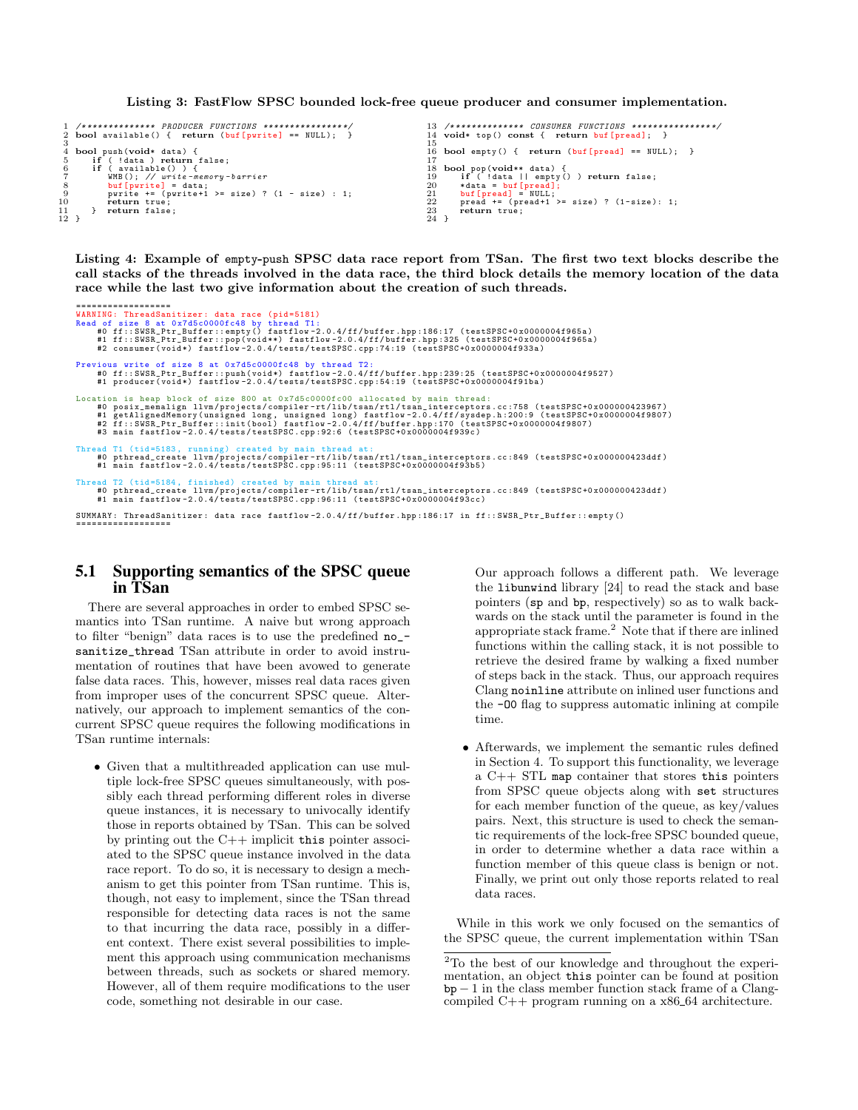Listing 3: FastFlow SPSC bounded lock-free queue producer and consumer implementation.

```
1 /*************** PRODUCER FUNCTIONS *********<br>2 bool available() { return (buf [pwrite] == N
      bool available () \{ return (buf [pwrite] == NULL);
  3
 4 bool push (void* data) {<br>
5 if ( data ) redurn<br>
6 if ( available () ) {<br>
7 WMB(); // write-<br>
8 buf[pwrite += (pwrite<br>
9 pwrite += (pwrite
  5 if (!data ) return false;<br>6 if (available() ) {
  7 WMB(); // write-memory-barrier<br>8 buf[pwrite] = data;
                    buf [pwrite] = data;<br>pwrite += (pwrite+1 >= size) ? (1 - size) : 1;
10 return true;<br>11 } return false;
\begin{bmatrix} 10 \\ 11 \\ 12 \end{bmatrix}13 /************** CONSUMER FUNCTIONS ******<br>14 void* top() const { return buf[pread];
                                                                                                                                                            void* top() const { return buf [pread]; }
                                                                                                                                                      ^{\rm 15}_{\rm 16}bool empty () { return (buf [ pread ] == NULL ); }
                                                                                                                                                     \begin{array}{c} 17 \\ 18 \\ 19 \\ 20 \\ 21 \end{array}18 bool pop (void** data) {<br>19 if (!data || empty () ) return false;<br>20 * data = buf [pread];<br>21 buf [pread += (pread+1 >= size) ? (1-size): 1;
                                                                                                                                                                    return true;
                                                                                                                                                     \frac{22}{23}<br>23<br>24 }
```
Listing 4: Example of empty-push SPSC data race report from TSan. The first two text blocks describe the call stacks of the threads involved in the data race, the third block details the memory location of the data race while the last two give information about the creation of such threads.

```
==================
WARNING : ThreadSanitizer : data race ( pid =5181)
Read of size 8 at 0 x7d5c0000fc48 by thread T1 :
#0 ff :: SWSR_Ptr_Buffer :: empty () fastflow -2.0.4/ ff / buffer . hpp :186:17 ( testSPSC +0 x0000004f965a )
#1 ff :: SWSR_Ptr_Buffer :: pop ( void **) fastflow -2.0.4/ ff / buffer . hpp :325 ( testSPSC +0 x0000004f965a )
#2 consumer ( void *) fastflow -2.0.4/ tests / testSPSC . cpp :74:19 ( testSPSC +0 x0000004f933a )
 Previous write of size 8 at 0x7d5c0000fc48 by thread T2:<br>#0 ff::SWSR_Ptr_Bush(void*) fastflow-2.0.4/ff/buffer.hpp:239:25 (testSPSC+0x0000004f9527)<br>#1 producer(void*) fastflow-2.0.4/tests/testSPSC.cpp:54:19 (testSPSC+0x0000
                   is heap block of size 800 at 0x7d5c0000fc00 allocated by main thread:
         #0 posix_memalign llvm/projects/compiler-rt/lib/tsan/rtl/tsan_interceptors.cc:758 (testSPSC+0x000000423967)<br>#1 getAlignedMemory(unsigned long, unsigned long) fastflow-2.0.4/ff/sysdep.h:200:9 (testSPSC+0x00000004f9807)<br>#2 f
 Thread T1 (tid=5183, running) created by main thread at:<br>#0 pthread_create llvm/projects/compiler-rt/lib/tsan/rtl/tsan_interceptors.cc:849 (testSPSC+0x000000423ddf)<br>#1 main fastflow-2.0.4/tests/testSPSC.cpp:95:11 (testSPSC
 Thread T2 (tid=5184, finished) created by main thread at:<br>#0 pthread_create llvm/projects/compiler-rt/lib/tsan/rtl/tsan_interceptors.cc:849 (testSPSC+0x000000423ddf)<br>#1 main fastflow-2.0.4/tests/testSPSC.cpp:96:11 (testSPS
SUMMARY : ThreadSanitizer : data race fastflow -2.0.4/ ff / buffer . hpp :186:17 in ff :: SWSR_Ptr_Buffer :: empty ()
```
## ==================

#### 5.1 Supporting semantics of the SPSC queue in TSan

There are several approaches in order to embed SPSC semantics into TSan runtime. A naive but wrong approach to filter "benign" data races is to use the predefined no\_ sanitize\_thread TSan attribute in order to avoid instrumentation of routines that have been avowed to generate false data races. This, however, misses real data races given from improper uses of the concurrent SPSC queue. Alternatively, our approach to implement semantics of the concurrent SPSC queue requires the following modifications in TSan runtime internals:

• Given that a multithreaded application can use multiple lock-free SPSC queues simultaneously, with possibly each thread performing different roles in diverse queue instances, it is necessary to univocally identify those in reports obtained by TSan. This can be solved by printing out the C++ implicit this pointer associated to the SPSC queue instance involved in the data race report. To do so, it is necessary to design a mechanism to get this pointer from TSan runtime. This is, though, not easy to implement, since the TSan thread responsible for detecting data races is not the same to that incurring the data race, possibly in a different context. There exist several possibilities to implement this approach using communication mechanisms between threads, such as sockets or shared memory. However, all of them require modifications to the user code, something not desirable in our case.

Our approach follows a different path. We leverage the libunwind library [24] to read the stack and base pointers (sp and bp, respectively) so as to walk backwards on the stack until the parameter is found in the appropriate stack frame. $^{2}$  Note that if there are inlined functions within the calling stack, it is not possible to retrieve the desired frame by walking a fixed number of steps back in the stack. Thus, our approach requires Clang noinline attribute on inlined user functions and the -O0 flag to suppress automatic inlining at compile time.

• Afterwards, we implement the semantic rules defined in Section 4. To support this functionality, we leverage a C++ STL map container that stores this pointers from SPSC queue objects along with set structures for each member function of the queue, as key/values pairs. Next, this structure is used to check the semantic requirements of the lock-free SPSC bounded queue, in order to determine whether a data race within a function member of this queue class is benign or not. Finally, we print out only those reports related to real data races.

While in this work we only focused on the semantics of the SPSC queue, the current implementation within TSan

 $\rm{^2To}$  the best of our knowledge and throughout the experimentation, an object this pointer can be found at position  $bp - 1$  in the class member function stack frame of a Clangcompiled  $C++$  program running on a  $x86_64$  architecture.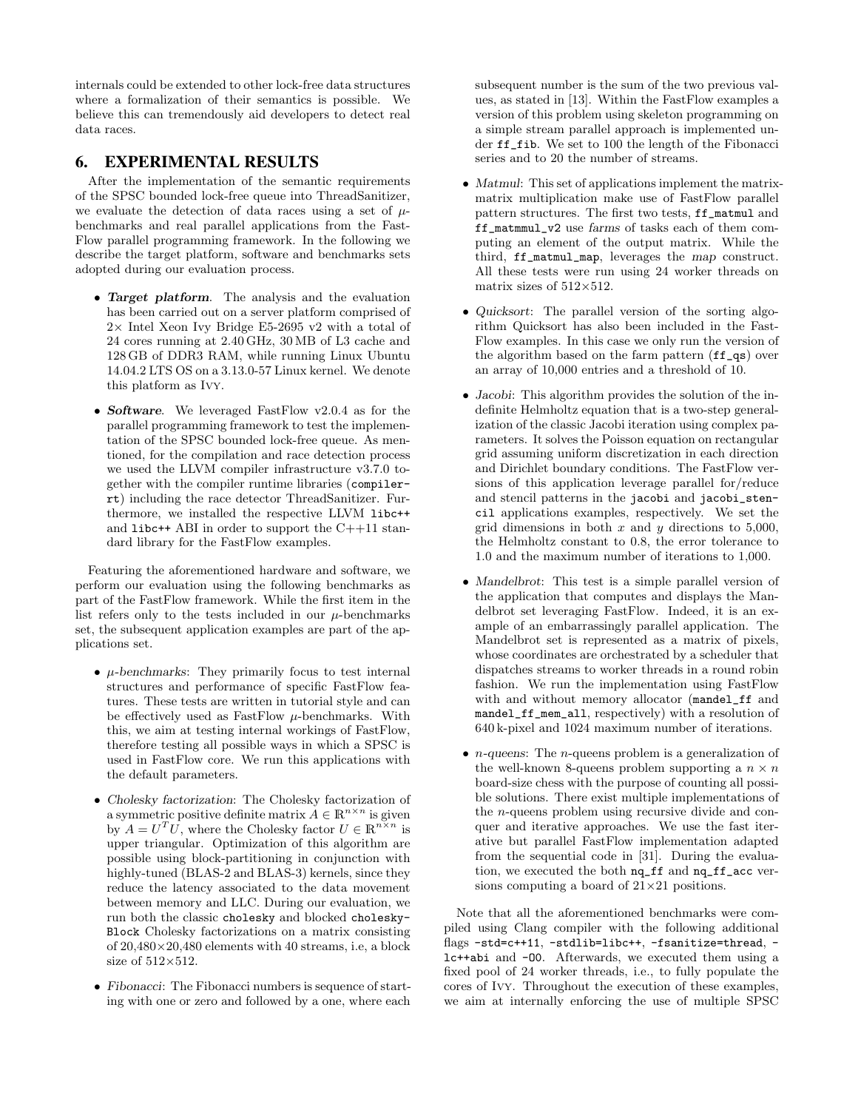internals could be extended to other lock-free data structures where a formalization of their semantics is possible. We believe this can tremendously aid developers to detect real data races.

# 6. EXPERIMENTAL RESULTS

After the implementation of the semantic requirements of the SPSC bounded lock-free queue into ThreadSanitizer, we evaluate the detection of data races using a set of  $\mu$ benchmarks and real parallel applications from the Fast-Flow parallel programming framework. In the following we describe the target platform, software and benchmarks sets adopted during our evaluation process.

- Target platform. The analysis and the evaluation has been carried out on a server platform comprised of  $2\times$  Intel Xeon Ivy Bridge E5-2695 v2 with a total of 24 cores running at 2.40 GHz, 30 MB of L3 cache and 128 GB of DDR3 RAM, while running Linux Ubuntu 14.04.2 LTS OS on a 3.13.0-57 Linux kernel. We denote this platform as Ivy.
- Software. We leveraged FastFlow v2.0.4 as for the parallel programming framework to test the implementation of the SPSC bounded lock-free queue. As mentioned, for the compilation and race detection process we used the LLVM compiler infrastructure v3.7.0 together with the compiler runtime libraries (compilerrt) including the race detector ThreadSanitizer. Furthermore, we installed the respective LLVM libc++ and libc++ ABI in order to support the  $C++11$  standard library for the FastFlow examples.

Featuring the aforementioned hardware and software, we perform our evaluation using the following benchmarks as part of the FastFlow framework. While the first item in the list refers only to the tests included in our  $\mu$ -benchmarks set, the subsequent application examples are part of the applications set.

- $\mu$ -benchmarks: They primarily focus to test internal structures and performance of specific FastFlow features. These tests are written in tutorial style and can be effectively used as FastFlow  $\mu$ -benchmarks. With this, we aim at testing internal workings of FastFlow, therefore testing all possible ways in which a SPSC is used in FastFlow core. We run this applications with the default parameters.
- Cholesky factorization: The Cholesky factorization of a symmetric positive definite matrix  $A \in \mathbb{R}^{n \times n}$  is given by  $A = U^T U$ , where the Cholesky factor  $U \in \mathbb{R}^{n \times n}$  is upper triangular. Optimization of this algorithm are possible using block-partitioning in conjunction with highly-tuned (BLAS-2 and BLAS-3) kernels, since they reduce the latency associated to the data movement between memory and LLC. During our evaluation, we run both the classic cholesky and blocked cholesky-Block Cholesky factorizations on a matrix consisting of 20,480×20,480 elements with 40 streams, i.e, a block size of  $512\times512$ .
- Fibonacci: The Fibonacci numbers is sequence of starting with one or zero and followed by a one, where each

subsequent number is the sum of the two previous values, as stated in [13]. Within the FastFlow examples a version of this problem using skeleton programming on a simple stream parallel approach is implemented under ff\_fib. We set to 100 the length of the Fibonacci series and to 20 the number of streams.

- Matmul: This set of applications implement the matrixmatrix multiplication make use of FastFlow parallel pattern structures. The first two tests, ff\_matmul and ff\_matmmul\_v2 use farms of tasks each of them computing an element of the output matrix. While the third, ff\_matmul\_map, leverages the map construct. All these tests were run using 24 worker threads on matrix sizes of  $512\times512$ .
- Quicksort: The parallel version of the sorting algorithm Quicksort has also been included in the Fast-Flow examples. In this case we only run the version of the algorithm based on the farm pattern (ff\_qs) over an array of 10,000 entries and a threshold of 10.
- Jacobi: This algorithm provides the solution of the indefinite Helmholtz equation that is a two-step generalization of the classic Jacobi iteration using complex parameters. It solves the Poisson equation on rectangular grid assuming uniform discretization in each direction and Dirichlet boundary conditions. The FastFlow versions of this application leverage parallel for/reduce and stencil patterns in the jacobi and jacobi\_stencil applications examples, respectively. We set the grid dimensions in both  $x$  and  $y$  directions to 5,000, the Helmholtz constant to 0.8, the error tolerance to 1.0 and the maximum number of iterations to 1,000.
- Mandelbrot: This test is a simple parallel version of the application that computes and displays the Mandelbrot set leveraging FastFlow. Indeed, it is an example of an embarrassingly parallel application. The Mandelbrot set is represented as a matrix of pixels, whose coordinates are orchestrated by a scheduler that dispatches streams to worker threads in a round robin fashion. We run the implementation using FastFlow with and without memory allocator (mandel\_ff and mandel\_ff\_mem\_all, respectively) with a resolution of 640 k-pixel and 1024 maximum number of iterations.
- $n$ -queens: The  $n$ -queens problem is a generalization of the well-known 8-queens problem supporting a  $n \times n$ board-size chess with the purpose of counting all possible solutions. There exist multiple implementations of the n-queens problem using recursive divide and conquer and iterative approaches. We use the fast iterative but parallel FastFlow implementation adapted from the sequential code in [31]. During the evaluation, we executed the both nq\_ff and nq\_ff\_acc versions computing a board of  $21\times21$  positions.

Note that all the aforementioned benchmarks were compiled using Clang compiler with the following additional flags -std=c++11, -stdlib=libc++, -fsanitize=thread, lc++abi and -O0. Afterwards, we executed them using a fixed pool of 24 worker threads, i.e., to fully populate the cores of Ivy. Throughout the execution of these examples, we aim at internally enforcing the use of multiple SPSC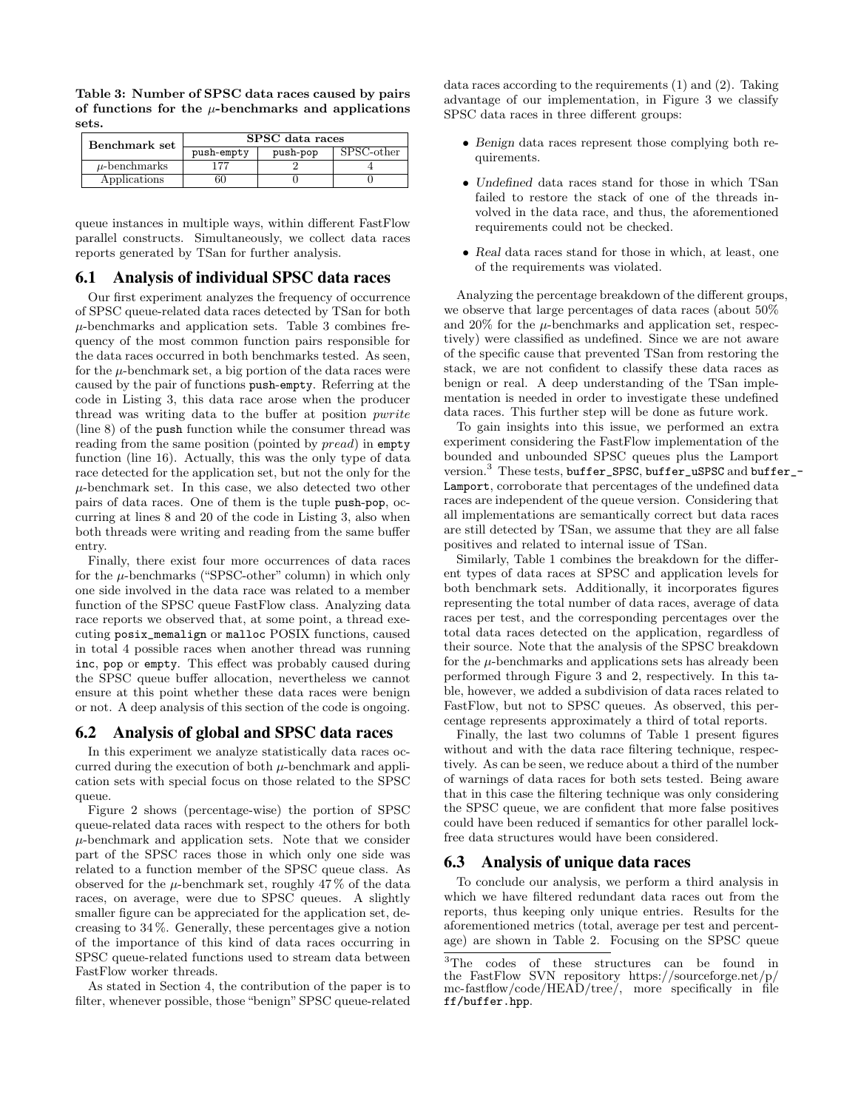Table 3: Number of SPSC data races caused by pairs of functions for the  $\mu$ -benchmarks and applications sets.

| Benchmark set     | SPSC data races |          |                     |  |  |  |
|-------------------|-----------------|----------|---------------------|--|--|--|
|                   | push-empty      | push-pop | $SPSC\text{-other}$ |  |  |  |
| $\mu$ -benchmarks |                 |          |                     |  |  |  |
| Applications      | 50              |          |                     |  |  |  |

queue instances in multiple ways, within different FastFlow parallel constructs. Simultaneously, we collect data races reports generated by TSan for further analysis.

## 6.1 Analysis of individual SPSC data races

Our first experiment analyzes the frequency of occurrence of SPSC queue-related data races detected by TSan for both  $\mu$ -benchmarks and application sets. Table 3 combines frequency of the most common function pairs responsible for the data races occurred in both benchmarks tested. As seen, for the  $\mu$ -benchmark set, a big portion of the data races were caused by the pair of functions push-empty. Referring at the code in Listing 3, this data race arose when the producer thread was writing data to the buffer at position pwrite (line 8) of the push function while the consumer thread was reading from the same position (pointed by  $\text{pred}$ ) in empty function (line 16). Actually, this was the only type of data race detected for the application set, but not the only for the  $\mu$ -benchmark set. In this case, we also detected two other pairs of data races. One of them is the tuple push-pop, occurring at lines 8 and 20 of the code in Listing 3, also when both threads were writing and reading from the same buffer entry.

Finally, there exist four more occurrences of data races for the  $\mu$ -benchmarks ("SPSC-other" column) in which only one side involved in the data race was related to a member function of the SPSC queue FastFlow class. Analyzing data race reports we observed that, at some point, a thread executing posix\_memalign or malloc POSIX functions, caused in total 4 possible races when another thread was running inc, pop or empty. This effect was probably caused during the SPSC queue buffer allocation, nevertheless we cannot ensure at this point whether these data races were benign or not. A deep analysis of this section of the code is ongoing.

## 6.2 Analysis of global and SPSC data races

In this experiment we analyze statistically data races occurred during the execution of both  $\mu$ -benchmark and application sets with special focus on those related to the SPSC queue.

Figure 2 shows (percentage-wise) the portion of SPSC queue-related data races with respect to the others for both  $\mu$ -benchmark and application sets. Note that we consider part of the SPSC races those in which only one side was related to a function member of the SPSC queue class. As observed for the  $\mu$ -benchmark set, roughly 47% of the data races, on average, were due to SPSC queues. A slightly smaller figure can be appreciated for the application set, decreasing to 34 %. Generally, these percentages give a notion of the importance of this kind of data races occurring in SPSC queue-related functions used to stream data between FastFlow worker threads.

As stated in Section 4, the contribution of the paper is to filter, whenever possible, those "benign" SPSC queue-related

data races according to the requirements (1) and (2). Taking advantage of our implementation, in Figure 3 we classify SPSC data races in three different groups:

- Benign data races represent those complying both requirements.
- Undefined data races stand for those in which TSan failed to restore the stack of one of the threads involved in the data race, and thus, the aforementioned requirements could not be checked.
- Real data races stand for those in which, at least, one of the requirements was violated.

Analyzing the percentage breakdown of the different groups, we observe that large percentages of data races (about 50% and  $20\%$  for the  $\mu$ -benchmarks and application set, respectively) were classified as undefined. Since we are not aware of the specific cause that prevented TSan from restoring the stack, we are not confident to classify these data races as benign or real. A deep understanding of the TSan implementation is needed in order to investigate these undefined data races. This further step will be done as future work.

To gain insights into this issue, we performed an extra experiment considering the FastFlow implementation of the bounded and unbounded SPSC queues plus the Lamport version.<sup>3</sup> These tests, buffer\_SPSC, buffer\_uSPSC and buffer\_- Lamport, corroborate that percentages of the undefined data races are independent of the queue version. Considering that all implementations are semantically correct but data races are still detected by TSan, we assume that they are all false positives and related to internal issue of TSan.

Similarly, Table 1 combines the breakdown for the different types of data races at SPSC and application levels for both benchmark sets. Additionally, it incorporates figures representing the total number of data races, average of data races per test, and the corresponding percentages over the total data races detected on the application, regardless of their source. Note that the analysis of the SPSC breakdown for the  $\mu$ -benchmarks and applications sets has already been performed through Figure 3 and 2, respectively. In this table, however, we added a subdivision of data races related to FastFlow, but not to SPSC queues. As observed, this percentage represents approximately a third of total reports.

Finally, the last two columns of Table 1 present figures without and with the data race filtering technique, respectively. As can be seen, we reduce about a third of the number of warnings of data races for both sets tested. Being aware that in this case the filtering technique was only considering the SPSC queue, we are confident that more false positives could have been reduced if semantics for other parallel lockfree data structures would have been considered.

#### 6.3 Analysis of unique data races

To conclude our analysis, we perform a third analysis in which we have filtered redundant data races out from the reports, thus keeping only unique entries. Results for the aforementioned metrics (total, average per test and percentage) are shown in Table 2. Focusing on the SPSC queue

<sup>&</sup>lt;sup>3</sup>The codes of these structures can be found in the FastFlow SVN repository https://sourceforge.net/p/ mc-fastflow/code/HEAD/tree/, more specifically in file ff/buffer.hpp.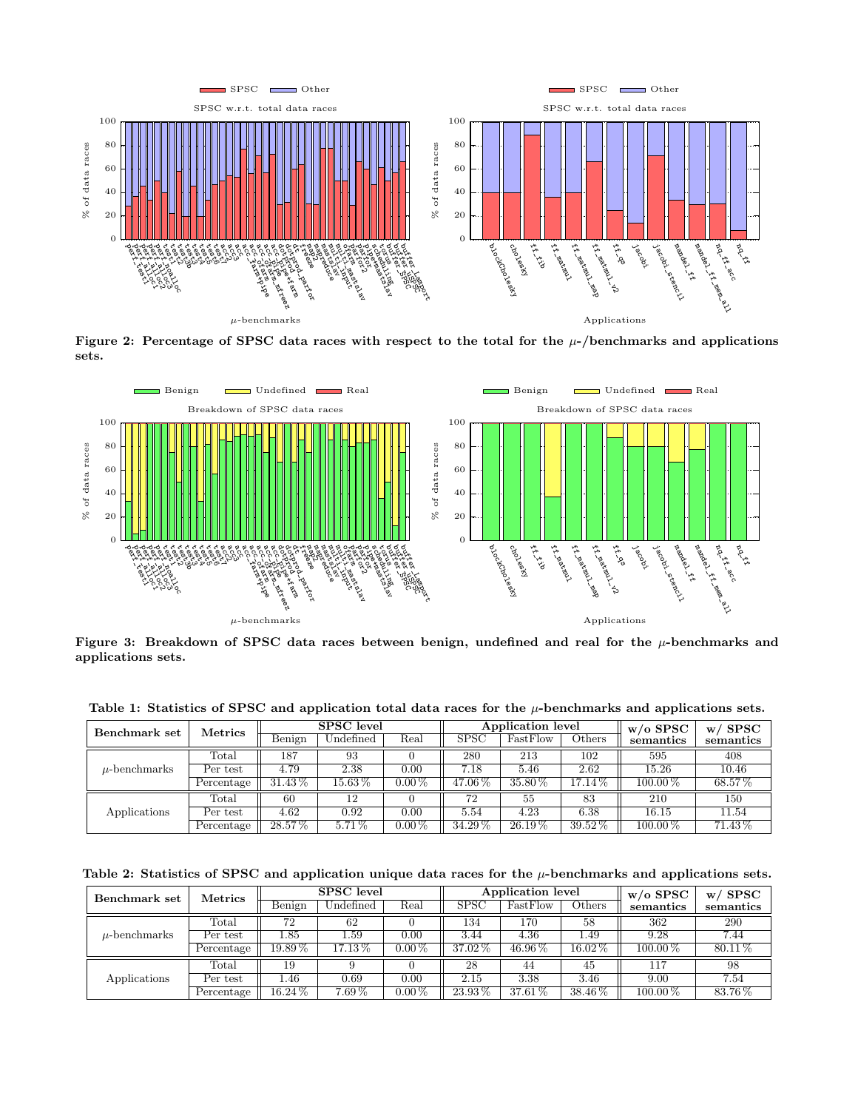

Figure 2: Percentage of SPSC data races with respect to the total for the  $\mu$ -/benchmarks and applications sets.



Figure 3: Breakdown of SPSC data races between benign, undefined and real for the  $\mu$ -benchmarks and applications sets.

| Benchmark set     | <b>Metrics</b> | SPSC level |             |          | Application level |           |           | $w/o$ SPSC   | $w/$ SPSC |
|-------------------|----------------|------------|-------------|----------|-------------------|-----------|-----------|--------------|-----------|
|                   |                | Benign     | Undefined   | Real     | SPSC              | FastFlow  | Others    | semantics    | semantics |
| $\mu$ -benchmarks | $\text{Total}$ | 187        | 93          |          | 280               | 213       | 102       | 595          | 408       |
|                   | Per test       | 4.79       | 2.38        | 0.00     | 7.18              | 5.46      | 2.62      | 15.26        | 10.46     |
|                   | Percentage     | $31.43\%$  | $15.63\,\%$ | $0.00\%$ | 47.06%            | $35.80\%$ | 17.14%    | $100.00\,\%$ | 68.57%    |
| Applications      | $\text{Total}$ | 60         | 12          |          | 72                | 55        | 83        | 210          | 150       |
|                   | Per test       | 4.62       | 0.92        | 0.00     | 5.54              | 4.23      | 6.38      | 16.15        | 11.54     |
|                   | Percentage     | $28.57\%$  | $5.71\%$    | $0.00\%$ | $34.29\,\%$       | $26.19\%$ | $39.52\%$ | $100.00\%$   | $71.43\%$ |

Table 1: Statistics of SPSC and application total data races for the  $\mu$ -benchmarks and applications sets.

Table 2: Statistics of SPSC and application unique data races for the  $\mu$ -benchmarks and applications sets.

| Benchmark set     | <b>Metrics</b> | <b>SPSC</b> level |                     |            | Application level |             |             | $w/o$ SPSC | <b>SPSC</b><br>W. |
|-------------------|----------------|-------------------|---------------------|------------|-------------------|-------------|-------------|------------|-------------------|
|                   |                | Benign            | $\rm Undefined$     | Real       | <b>SPSC</b>       | FastFlow    | Others      | semantics  | semantics         |
| $\mu$ -benchmarks | $_{\rm Total}$ | 72                | 62                  |            | 134               | 170         | 58          | 362        | 290               |
|                   | Per test       | 1.85              | 1.59                | 0.00       | 3.44              | 4.36        | 1.49        | 9.28       | 7.44              |
|                   | Percentage     | $19.89\,\%$       | $17.13\%$           | $0.00\,\%$ | $37.02\%$         | $46.96\,\%$ | $16.02\,\%$ | $100.00\%$ | $80.11\%$         |
| Applications      | $_{\rm Total}$ | 19                |                     |            | 28                | 44          | 45          | 117        | 98                |
|                   | Per test       | .46               | 0.69                | 0.00       | 2.15              | 3.38        | 3.46        | 9.00       | 7.54              |
|                   | Percentage     | $16.24\,\%$       | $7.\overline{69\%}$ | $0.00\,\%$ | $23.93\%$         | $37.61\%$   | $38.46\%$   | $100.00\%$ | $83.76\%$         |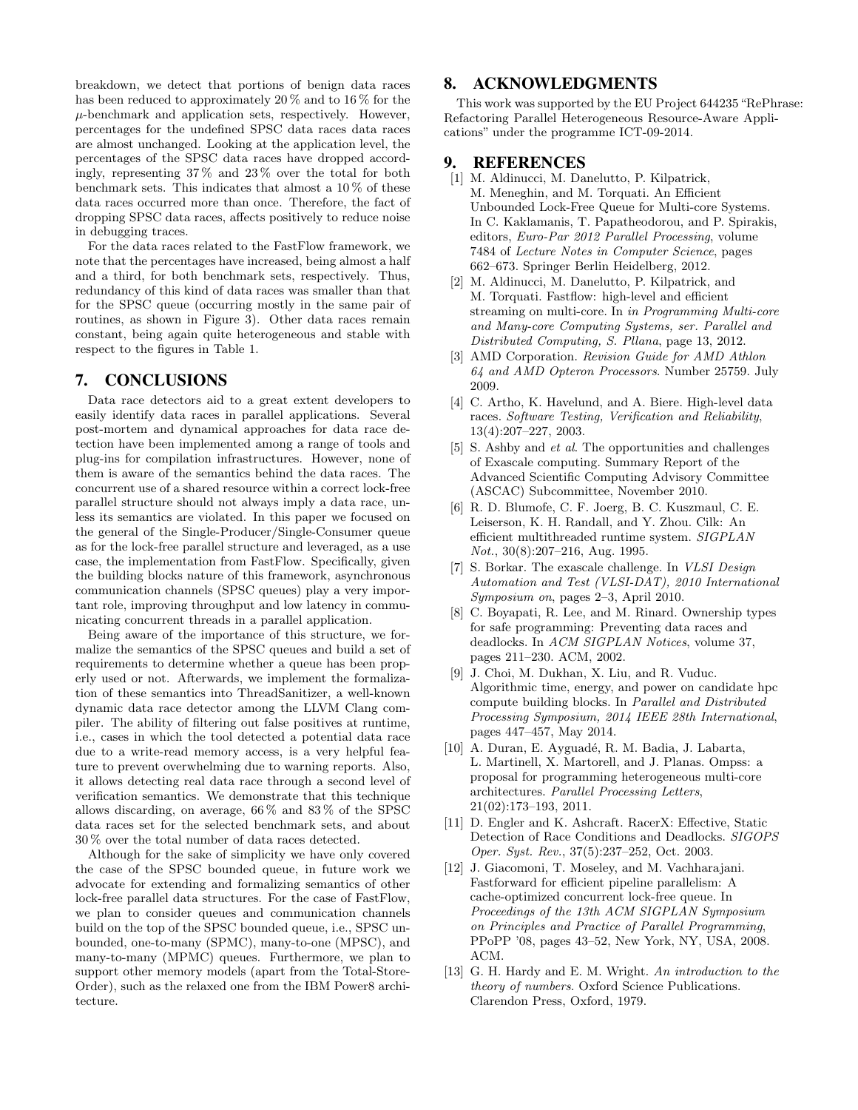breakdown, we detect that portions of benign data races has been reduced to approximately 20 % and to 16 % for the  $\mu$ -benchmark and application sets, respectively. However, percentages for the undefined SPSC data races data races are almost unchanged. Looking at the application level, the percentages of the SPSC data races have dropped accordingly, representing 37 % and 23 % over the total for both benchmark sets. This indicates that almost a  $10\%$  of these data races occurred more than once. Therefore, the fact of dropping SPSC data races, affects positively to reduce noise in debugging traces.

For the data races related to the FastFlow framework, we note that the percentages have increased, being almost a half and a third, for both benchmark sets, respectively. Thus, redundancy of this kind of data races was smaller than that for the SPSC queue (occurring mostly in the same pair of routines, as shown in Figure 3). Other data races remain constant, being again quite heterogeneous and stable with respect to the figures in Table 1.

#### 7. CONCLUSIONS

Data race detectors aid to a great extent developers to easily identify data races in parallel applications. Several post-mortem and dynamical approaches for data race detection have been implemented among a range of tools and plug-ins for compilation infrastructures. However, none of them is aware of the semantics behind the data races. The concurrent use of a shared resource within a correct lock-free parallel structure should not always imply a data race, unless its semantics are violated. In this paper we focused on the general of the Single-Producer/Single-Consumer queue as for the lock-free parallel structure and leveraged, as a use case, the implementation from FastFlow. Specifically, given the building blocks nature of this framework, asynchronous communication channels (SPSC queues) play a very important role, improving throughput and low latency in communicating concurrent threads in a parallel application.

Being aware of the importance of this structure, we formalize the semantics of the SPSC queues and build a set of requirements to determine whether a queue has been properly used or not. Afterwards, we implement the formalization of these semantics into ThreadSanitizer, a well-known dynamic data race detector among the LLVM Clang compiler. The ability of filtering out false positives at runtime, i.e., cases in which the tool detected a potential data race due to a write-read memory access, is a very helpful feature to prevent overwhelming due to warning reports. Also, it allows detecting real data race through a second level of verification semantics. We demonstrate that this technique allows discarding, on average, 66 % and 83 % of the SPSC data races set for the selected benchmark sets, and about 30 % over the total number of data races detected.

Although for the sake of simplicity we have only covered the case of the SPSC bounded queue, in future work we advocate for extending and formalizing semantics of other lock-free parallel data structures. For the case of FastFlow, we plan to consider queues and communication channels build on the top of the SPSC bounded queue, i.e., SPSC unbounded, one-to-many (SPMC), many-to-one (MPSC), and many-to-many (MPMC) queues. Furthermore, we plan to support other memory models (apart from the Total-Store-Order), such as the relaxed one from the IBM Power8 architecture.

#### 8. ACKNOWLEDGMENTS

This work was supported by the EU Project 644235"RePhrase: Refactoring Parallel Heterogeneous Resource-Aware Applications" under the programme ICT-09-2014.

### 9. REFERENCES

- [1] M. Aldinucci, M. Danelutto, P. Kilpatrick, M. Meneghin, and M. Torquati. An Efficient Unbounded Lock-Free Queue for Multi-core Systems. In C. Kaklamanis, T. Papatheodorou, and P. Spirakis, editors, Euro-Par 2012 Parallel Processing, volume 7484 of Lecture Notes in Computer Science, pages 662–673. Springer Berlin Heidelberg, 2012.
- [2] M. Aldinucci, M. Danelutto, P. Kilpatrick, and M. Torquati. Fastflow: high-level and efficient streaming on multi-core. In in Programming Multi-core and Many-core Computing Systems, ser. Parallel and Distributed Computing, S. Pllana, page 13, 2012.
- [3] AMD Corporation. Revision Guide for AMD Athlon 64 and AMD Opteron Processors. Number 25759. July 2009.
- [4] C. Artho, K. Havelund, and A. Biere. High-level data races. Software Testing, Verification and Reliability, 13(4):207–227, 2003.
- [5] S. Ashby and et al. The opportunities and challenges of Exascale computing. Summary Report of the Advanced Scientific Computing Advisory Committee (ASCAC) Subcommittee, November 2010.
- [6] R. D. Blumofe, C. F. Joerg, B. C. Kuszmaul, C. E. Leiserson, K. H. Randall, and Y. Zhou. Cilk: An efficient multithreaded runtime system. SIGPLAN Not., 30(8):207–216, Aug. 1995.
- [7] S. Borkar. The exascale challenge. In VLSI Design Automation and Test (VLSI-DAT), 2010 International Symposium on, pages 2–3, April 2010.
- [8] C. Boyapati, R. Lee, and M. Rinard. Ownership types for safe programming: Preventing data races and deadlocks. In ACM SIGPLAN Notices, volume 37, pages 211–230. ACM, 2002.
- [9] J. Choi, M. Dukhan, X. Liu, and R. Vuduc. Algorithmic time, energy, and power on candidate hpc compute building blocks. In Parallel and Distributed Processing Symposium, 2014 IEEE 28th International, pages 447–457, May 2014.
- [10] A. Duran, E. Ayguadé, R. M. Badia, J. Labarta, L. Martinell, X. Martorell, and J. Planas. Ompss: a proposal for programming heterogeneous multi-core architectures. Parallel Processing Letters, 21(02):173–193, 2011.
- [11] D. Engler and K. Ashcraft. RacerX: Effective, Static Detection of Race Conditions and Deadlocks. SIGOPS Oper. Syst. Rev., 37(5):237–252, Oct. 2003.
- [12] J. Giacomoni, T. Moseley, and M. Vachharajani. Fastforward for efficient pipeline parallelism: A cache-optimized concurrent lock-free queue. In Proceedings of the 13th ACM SIGPLAN Symposium on Principles and Practice of Parallel Programming, PPoPP '08, pages 43–52, New York, NY, USA, 2008. ACM.
- [13] G. H. Hardy and E. M. Wright. An introduction to the theory of numbers. Oxford Science Publications. Clarendon Press, Oxford, 1979.